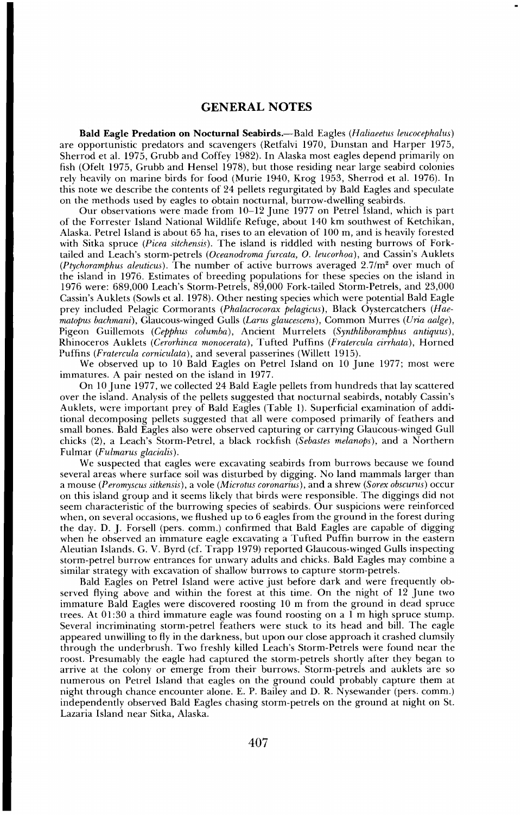## **GENERAL NOTES**

**Bald Eagle Predation on Nocturnal Seabirds.**--Bald Eagles (Haliaeetus leucocephalus) **are opportunistic predators and scavengers (Retfalvi 1970, Dunstan and Harper 1975,**  Sherrod et al. 1975, Grubb and Coffey 1982). In Alaska most eagles depend primarily on **fish (Ofelt 1975, Grubb and Hensel 1978), but those residing near large seabird colonies rely heavily on marine birds for food (Murie 1940, Krog 1953, Shetrod et al. 1976). In this note we describe the contents of 24 pellets regurgitated by Bald Eagles and speculate on the methods used by eagles to obtain nocturnal, burrow-dwelling seabirds.** 

**Our observations were made from 10-12 June 1977 on Petrel Island, which is part of the Forrester Island National Wildlife Refuge, about 140 km southwest of Ketchikan, Alaska. Petrel Island is about 65 ha, rises to an elevation of 100 m, and is heavily forested**  with Sitka spruce (Picea sitchensis). The island is riddled with nesting burrows of Forktailed and Leach's storm-petrels (Oceanodroma furcata, O. leucorhoa), and Cassin's Auklets ( $P$ tychoramphus aleuticus). The number of active burrows averaged  $2.7/m<sup>2</sup>$  over much of **the island in 1976. Estimates of breeding populations for these species on the island in 1976 were: 689,000 Leach's Storm-Petrels, 89,000 Fork-tailed Storm-Petrels, and 23,000 Cassin's Auklets (Sowls et al. 1978). Other nesting species which were potential Bald Eagle**  prey included Pelagic Cormorants (Phalacrocorax pelagicus), Black Oystercatchers (Hae**matopus bachmani), Glaucous-winged Gulls (Larus glaucescens), Common Murres (Uria aalge), Pigeon Guillemots (Cepphus columba), Ancient Murrelets (Synthliboramphus antiquus), Rhinoceros Auklets (Cerorhinca monocerata), Tufted Puffins (Fratercula cirrhata), Horned Puffins (Fratercula corniculata), and several passerines (Willett 1915).** 

**We observed up to 10 Bald Eagles on Petrel Island on 10 June 1977; most were immatures. A pair nested on the island in 1977.** 

**On 10 June 1977, we collected 24 Bald Eagle pellets from hundreds that lay scattered over the island. Analysis of the pellets suggested that nocturnal seabirds, notably Cassin's Auklets, were important prey of Bald Eagles (Table 1). Superficial examination of additional decomposing pellets suggested that all were composed primarily of feathers and small bones. Bald Eagles also were observed capturing or carrying Glaucous-winged Gull chicks (2), a Leach's Storm-Petrel, a black rockfish (Sebastes melanops), and a Northern Fulmar (Fulmarus glacialis).** 

**We suspected that eagles were excavating seabirds from burrows because we found several areas where surface soil was disturbed by digging. No land mammals larger than a mouse (Peromyscus sitkensis), a vole (Microtus coronarius), and a shrew (Sorex obscurus) occur on this island group and it seems likely that birds were responsible. The diggings did not seem characteristic of the burrowing species of seabirds. Our suspicions were reinforced when, on several occasions, we flushed up to 6 eagles from the ground in the forest during the day. D. J. Forsell (pers. comm.) confirmed that Bald Eagles are capable of digging when he observed an immature eagle excavating aTufted Puffin burrow in the eastern Aleutian Islands. G. V. Byrd (cf. Trapp 1979) reported Glaucous-winged Gulls inspecting storm-petrel burrow entrances for unwary adults and chicks. Bald Eagles may combine a similar strategy with excavation of shallow burrows to capture storm-petrels.** 

**Bald Eagles on Petrel Island were active just before dark and were frequently observed flying above and within the forest at this time. On the night of 12 June two immature Bald Eagles were discovered roosting 10 m from the ground in dead spruce trees. At 01:30 a third immature eagle was found roosting on a 1 m high spruce stump. Several incriminating storm-petrel feathers were stuck to its head and bill. The eagle appeared unwilling to fly in the darkness, but upon our close approach it crashed clumsily through the underbrush. Two freshly killed Leach's Storm-Petrels were found near the**  roost. Presumably the eagle had captured the storm-petrels shortly after they began to **arrive at the colony or emerge from their burrows. Storm-petrels and auklets are so numerous on Petrel Island that eagles on the ground could probably capture them at night through chance encounter alone. E. P. Bailey and D. R. Nysewander (pers. comm.) independently observed Bald Eagles chasing storm-petrels on the ground at night on St. Lazaria Island near Sitka, Alaska.**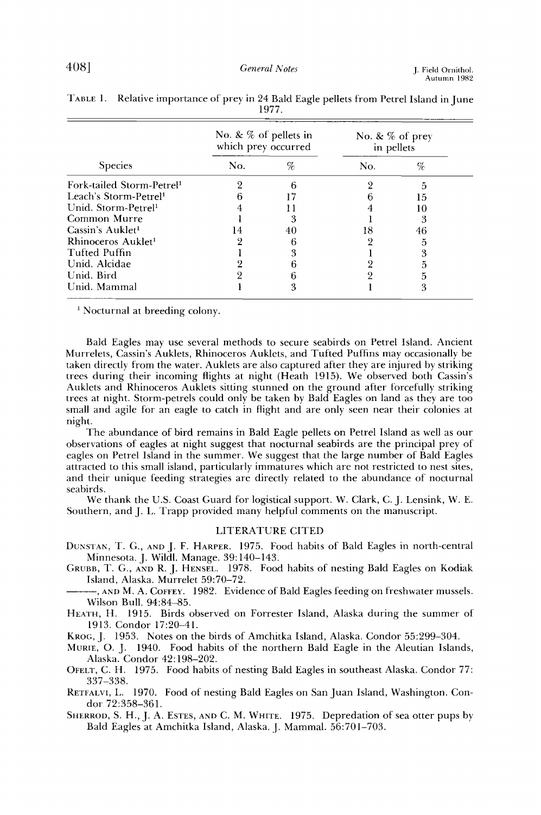| <b>Species</b>                        | No. & $%$ of pellets in<br>which prey occurred |    | No. & $%$ of prey<br>in pellets |     |
|---------------------------------------|------------------------------------------------|----|---------------------------------|-----|
|                                       | No.                                            | %  | No.                             | %   |
| Fork-tailed Storm-Petrel <sup>1</sup> |                                                |    |                                 |     |
| Leach's Storm-Petrel <sup>1</sup>     |                                                |    |                                 | 15. |
| Unid. Storm-Petrel <sup>1</sup>       |                                                |    |                                 | 10  |
| Common Murre                          |                                                |    |                                 |     |
| Cassin's Auklet <sup>1</sup>          |                                                | 40 |                                 | 46  |
| Rhinoceros Auklet <sup>1</sup>        |                                                | 6  |                                 | h   |
| Tufted Puffin                         |                                                |    |                                 |     |
| Unid. Alcidae                         |                                                |    |                                 |     |
| Unid. Bird                            |                                                |    |                                 |     |
| Unid. Mammal                          |                                                | 3  |                                 |     |

**TABLE 1. Relative importance of prey in 24 Bald Eagle pellets from Petrel Island in June 1977.** 

**i Nocturnal at breeding colony.** 

**Bald Eagles may use several methods to secure seabirds on Petrel Island. Ancient Murrelets, Cassin's Auklets, Rhinoceros Auklets, and Tufted Puffins may occasionally be taken directly from the water. Auklets are also captured after they are injured by striking trees during their incoming flights at night (Heath 1915). We observed both Cassin's Auklets and Rhinoceros Auklets sitting stunned on the ground after forcefully striking trees at night. Storm-petrels could only be taken by Bald Eagles on land as they are too small and agile for an eagle to catch in flight and are only seen near their colonies at night.** 

**The abundance of bird remains in Bald Eagle pellets on Petrel Island as well as our observations of eagles at night suggesthat nocturnal seabirds are the principal prey of eagles on Petrel Island in the summer. We suggesthat the large number of Bald Eagles attracted to this small island, particularly immatures which are not restricted to nest sites, and their unique feeding strategies are directly related to the abundance of nocturnal seabirds.** 

**We thank the U.S. Coast Guard for logistical support. W. Clark, C. J. Lensink, W. E. Southern, and J. L. Trapp provided many helpful comments on the manuscript.** 

## **LITERATURE CITED**

**DUNSTAN, T. G., AND J. F. HARPER. 1975. Food habits of Bald Eagles in north-central Minnesota. J. Wildl. Manage. 39:140-143.** 

- **GRUBB, T. G., AND R. J. HENSEL. 1978. Food habits of nesting Bald Eagles on Kodiak Island, Alaska. Murrelet 59:70-72.**
- **, AND M. A. COFFEY. 1982. Evidence of Bald Eagles feeding on freshwater mussels. Wilson Bull. 94:84-85.**

**HEATH, H. 1915. Birds observed on Forrester Island, Alaska during the summer of 1913. Gondor 17:20-41.** 

**KROC., J. 1953. Notes on the birds of Amchitka Island, Alaska. Gondor 55:299-304.** 

**MURIE, O.J. 1940. Food habits of the northern Bald Eagle in the Aleutian Islands, Alaska. Gondor 42:198-202.** 

**OFELT, G. H. 1975. Food habits of nesting Bald Eagles in southeast Alaska. Gondor 77: 337-338.** 

**RETFALVI, L. 1970. Food of nesting Bald Eagles on San Juan Island, Washington. Condor 72:358-361.** 

**SHERROD, S. H., J. A. ESTES, AND C. M. WHITE. 1975. Depredation of sea otter pups by Bald Eagles at Amchitka Island, Alaska. J. Mammal. 56:701-703.**